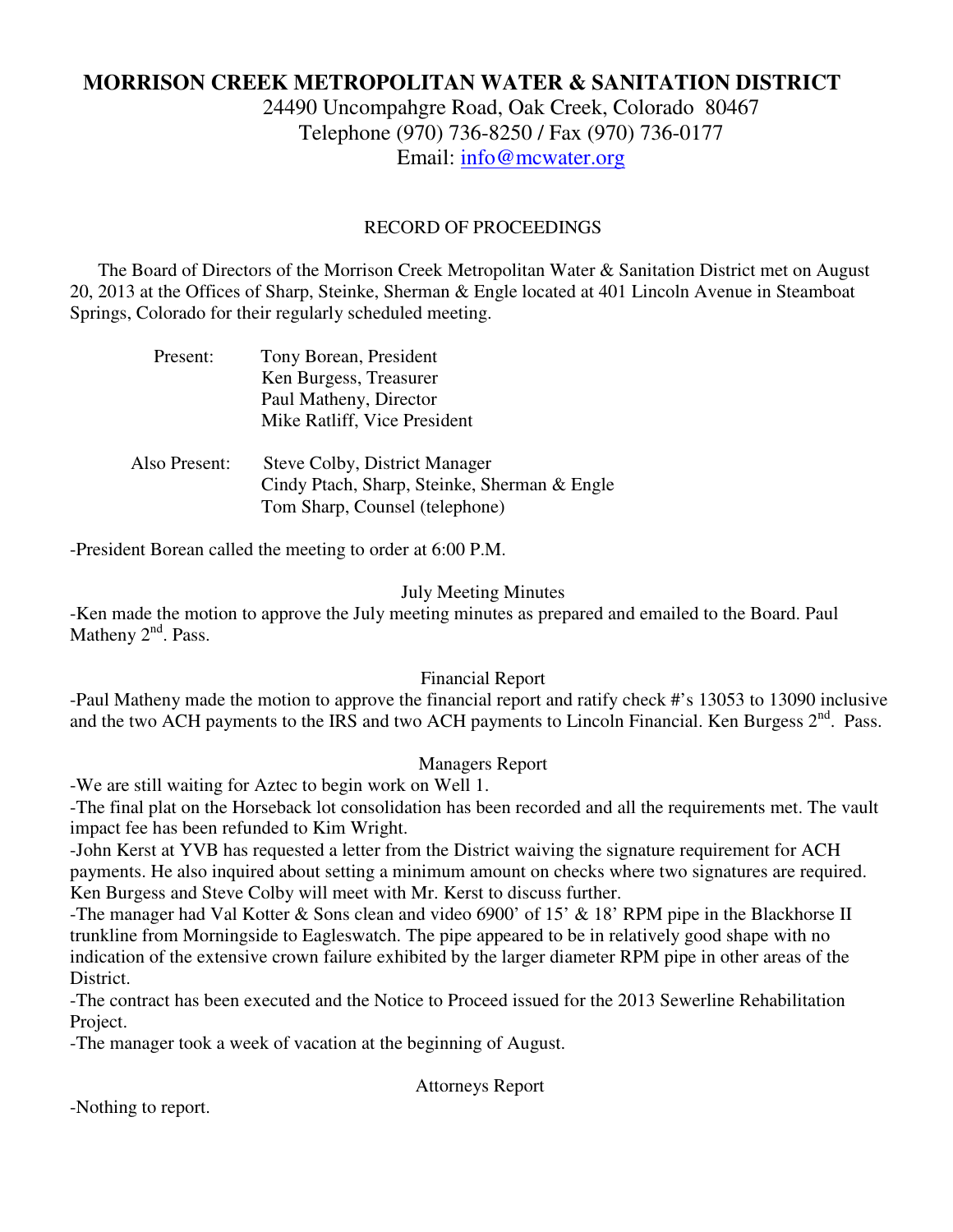# **MORRISON CREEK METROPOLITAN WATER & SANITATION DISTRICT**

24490 Uncompahgre Road, Oak Creek, Colorado 80467 Telephone (970) 736-8250 / Fax (970) 736-0177 Email: info@mcwater.org

### RECORD OF PROCEEDINGS

 The Board of Directors of the Morrison Creek Metropolitan Water & Sanitation District met on August 20, 2013 at the Offices of Sharp, Steinke, Sherman & Engle located at 401 Lincoln Avenue in Steamboat Springs, Colorado for their regularly scheduled meeting.

| Present:      | Tony Borean, President<br>Ken Burgess, Treasurer<br>Paul Matheny, Director<br>Mike Ratliff, Vice President             |
|---------------|------------------------------------------------------------------------------------------------------------------------|
| Also Present: | <b>Steve Colby, District Manager</b><br>Cindy Ptach, Sharp, Steinke, Sherman & Engle<br>Tom Sharp, Counsel (telephone) |

-President Borean called the meeting to order at 6:00 P.M.

#### July Meeting Minutes

-Ken made the motion to approve the July meeting minutes as prepared and emailed to the Board. Paul Matheny  $2<sup>nd</sup>$ . Pass.

#### Financial Report

-Paul Matheny made the motion to approve the financial report and ratify check #'s 13053 to 13090 inclusive and the two ACH payments to the IRS and two ACH payments to Lincoln Financial. Ken Burgess  $2<sup>nd</sup>$ . Pass.

#### Managers Report

-We are still waiting for Aztec to begin work on Well 1.

-The final plat on the Horseback lot consolidation has been recorded and all the requirements met. The vault impact fee has been refunded to Kim Wright.

-John Kerst at YVB has requested a letter from the District waiving the signature requirement for ACH payments. He also inquired about setting a minimum amount on checks where two signatures are required. Ken Burgess and Steve Colby will meet with Mr. Kerst to discuss further.

-The manager had Val Kotter & Sons clean and video 6900' of 15' & 18' RPM pipe in the Blackhorse II trunkline from Morningside to Eagleswatch. The pipe appeared to be in relatively good shape with no indication of the extensive crown failure exhibited by the larger diameter RPM pipe in other areas of the District.

-The contract has been executed and the Notice to Proceed issued for the 2013 Sewerline Rehabilitation Project.

-The manager took a week of vacation at the beginning of August.

Attorneys Report

-Nothing to report.